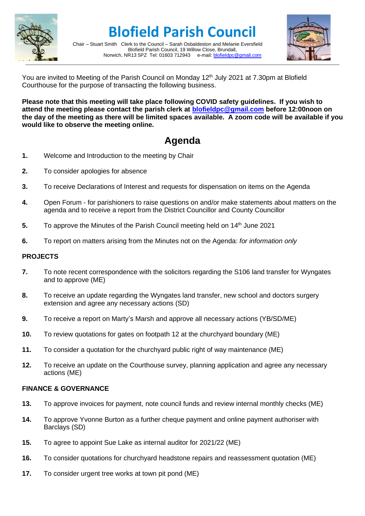

**Blofield Parish Council**

Chair – Stuart Smith Clerk to the Council – Sarah Osbaldeston and Melanie Eversfield Blofield Parish Council, 19 Willow Close, Brundall,<br>R13 5PZ Tel: 01603 712943 e-mail: blofieldoc@gmail.com Norwich, NR13 5PZ Tel: 01603 712943



You are invited to Meeting of the Parish Council on Monday 12<sup>th</sup> July 2021 at 7.30pm at Blofield Courthouse for the purpose of transacting the following business.

**Please note that this meeting will take place following COVID safety guidelines. If you wish to attend the meeting please contact the parish clerk at [blofieldpc@gmail.com](mailto:blofieldpc@gmail.com) before 12:00noon on the day of the meeting as there will be limited spaces available. A zoom code will be available if you would like to observe the meeting online.** 

## **Agenda**

- **1.** Welcome and Introduction to the meeting by Chair
- **2.** To consider apologies for absence
- **3.** To receive Declarations of Interest and requests for dispensation on items on the Agenda
- **4.** Open Forum for parishioners to raise questions on and/or make statements about matters on the agenda and to receive a report from the District Councillor and County Councillor
- **5.** To approve the Minutes of the Parish Council meeting held on 14<sup>th</sup> June 2021
- **6.** To report on matters arising from the Minutes not on the Agenda: *for information only*

## **PROJECTS**

- **7.** To note recent correspondence with the solicitors regarding the S106 land transfer for Wyngates and to approve (ME)
- **8.** To receive an update regarding the Wyngates land transfer, new school and doctors surgery extension and agree any necessary actions (SD)
- **9.** To receive a report on Marty's Marsh and approve all necessary actions (YB/SD/ME)
- **10.** To review quotations for gates on footpath 12 at the churchyard boundary (ME)
- **11.** To consider a quotation for the churchyard public right of way maintenance (ME)
- **12.** To receive an update on the Courthouse survey, planning application and agree any necessary actions (ME)

## **FINANCE & GOVERNANCE**

- **13.** To approve invoices for payment, note council funds and review internal monthly checks (ME)
- **14.** To approve Yvonne Burton as a further cheque payment and online payment authoriser with Barclays (SD)
- **15.** To agree to appoint Sue Lake as internal auditor for 2021/22 (ME)
- **16.** To consider quotations for churchyard headstone repairs and reassessment quotation (ME)
- **17.** To consider urgent tree works at town pit pond (ME)